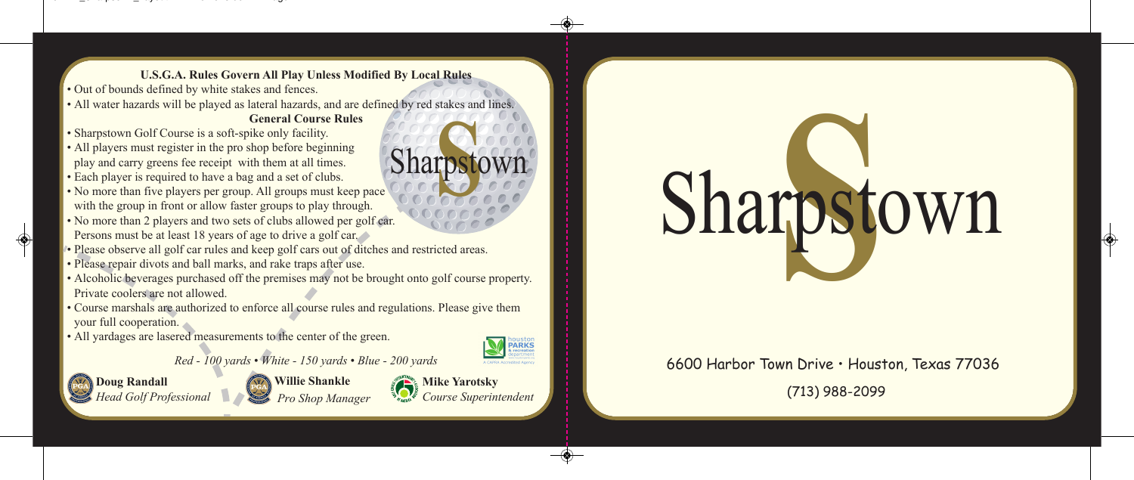**U.S.G.A. Rules Govern All Play Unless Modified By Local Rules**

- Out of bounds defined by white stakes and fences.
- All water hazards will be played as lateral hazards, and are defined by red stakes and lines.

## **General Course Rules**

- Sharpstown Golf Course is a soft-spike only facility.
- All players must register in the pro shop before beginning play and carry greens fee receipt with them at all times.
- Each player is required to have a bag and a set of clubs.
- No more than five players per group. All groups must keep pace with the group in front or allow faster groups to play through. Sharpstown
- No more than 2 players and two sets of clubs allowed per golf car. Persons must be at least 18 years of age to drive a golf car.
- Please observe all golf car rules and keep golf cars out of ditches and restricted areas.
- Please repair divots and ball marks, and rake traps after use.
- Alcoholic beverages purchased off the premises may not be brought onto golf course property. Private coolers are not allowed.
- Course marshals are authorized to enforce all course rules and regulations. Please give them your full cooperation.
- All yardages are lasered measurements to the center of the green.

PARKS

**Doug Randall** *Head Golf Professional*

**Willie Shankle** *Pro Shop Manager* 

*Red - 100 yards • White - 150 yards • Blue - 200 yards*

**Mike Yarotsky** *Course Superintendent*

## **SPORT** Sharpstown

## 6600 Harbor Town Drive • Houston, Texas 77036

(713) 988-2099